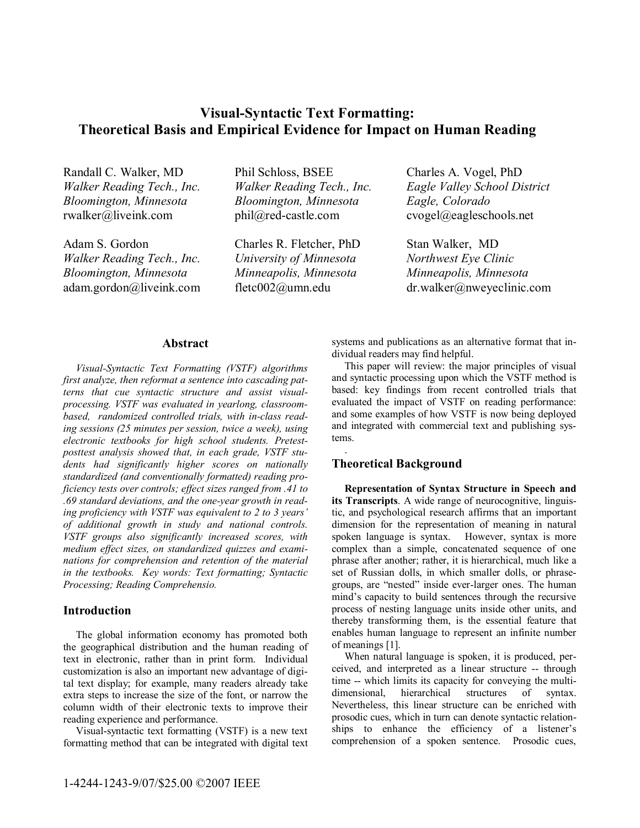# **Visual-Syntactic Text Formatting: Theoretical Basis and Empirical Evidence for Impact on Human Reading**

Randall C. Walker, MD *Walker Reading Tech., Inc. Bloomington, Minnesota* rwalker@liveink.com

Adam S. Gordon *Walker Reading Tech., Inc. Bloomington, Minnesota*  adam.gordon@liveink.com Phil Schloss, BSEE *Walker Reading Tech., Inc. Bloomington, Minnesota*  phil@red-castle.com

Charles R. Fletcher, PhD *University of Minnesota Minneapolis, Minnesota*  fletc002@umn.edu

Charles A. Vogel, PhD *Eagle Valley School District Eagle, Colorado* cvogel@eagleschools.net

Stan Walker, MD *Northwest Eye Clinic Minneapolis, Minnesota* dr.walker@nweyeclinic.com

### **Abstract**

*Visual-Syntactic Text Formatting (VSTF) algorithms first analyze, then reformat a sentence into cascading patterns that cue syntactic structure and assist visualprocessing. VSTF was evaluated in yearlong, classroombased, randomized controlled trials, with in-class reading sessions (25 minutes per session, twice a week), using electronic textbooks for high school students. Pretestposttest analysis showed that, in each grade, VSTF students had significantly higher scores on nationally standardized (and conventionally formatted) reading proficiency tests over controls; effect sizes ranged from .41 to .69 standard deviations, and the one-year growth in reading proficiency with VSTF was equivalent to 2 to 3 years' of additional growth in study and national controls. VSTF groups also significantly increased scores, with medium effect sizes, on standardized quizzes and examinations for comprehension and retention of the material in the textbooks. Key words: Text formatting; Syntactic Processing; Reading Comprehensio.* 

## **Introduction**

The global information economy has promoted both the geographical distribution and the human reading of text in electronic, rather than in print form. Individual customization is also an important new advantage of digital text display; for example, many readers already take extra steps to increase the size of the font, or narrow the column width of their electronic texts to improve their reading experience and performance.

Visual-syntactic text formatting (VSTF) is a new text formatting method that can be integrated with digital text systems and publications as an alternative format that individual readers may find helpful.

This paper will review: the major principles of visual and syntactic processing upon which the VSTF method is based: key findings from recent controlled trials that evaluated the impact of VSTF on reading performance: and some examples of how VSTF is now being deployed and integrated with commercial text and publishing systems.

### **Theoretical Background**

.

**Representation of Syntax Structure in Speech and its Transcripts**. A wide range of neurocognitive, linguistic, and psychological research affirms that an important dimension for the representation of meaning in natural spoken language is syntax. However, syntax is more complex than a simple, concatenated sequence of one phrase after another; rather, it is hierarchical, much like a set of Russian dolls, in which smaller dolls, or phrasegroups, are "nested" inside ever-larger ones. The human mind's capacity to build sentences through the recursive process of nesting language units inside other units, and thereby transforming them, is the essential feature that enables human language to represent an infinite number of meanings [1].

When natural language is spoken, it is produced, perceived, and interpreted as a linear structure -- through time -- which limits its capacity for conveying the multidimensional, hierarchical structures of syntax. Nevertheless, this linear structure can be enriched with prosodic cues, which in turn can denote syntactic relationships to enhance the efficiency of a listener's comprehension of a spoken sentence. Prosodic cues,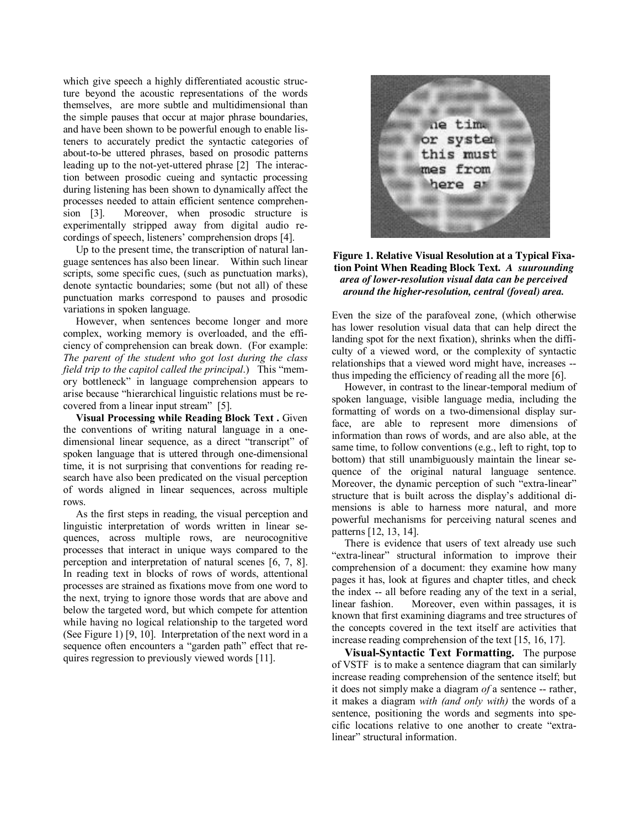which give speech a highly differentiated acoustic structure beyond the acoustic representations of the words themselves, are more subtle and multidimensional than the simple pauses that occur at major phrase boundaries, and have been shown to be powerful enough to enable listeners to accurately predict the syntactic categories of about-to-be uttered phrases, based on prosodic patterns leading up to the not-yet-uttered phrase [2] The interaction between prosodic cueing and syntactic processing during listening has been shown to dynamically affect the processes needed to attain efficient sentence comprehension [3]. Moreover, when prosodic structure is experimentally stripped away from digital audio recordings of speech, listeners' comprehension drops [4].

Up to the present time, the transcription of natural language sentences has also been linear. Within such linear scripts, some specific cues, (such as punctuation marks), denote syntactic boundaries; some (but not all) of these punctuation marks correspond to pauses and prosodic variations in spoken language.

However, when sentences become longer and more complex, working memory is overloaded, and the efficiency of comprehension can break down. (For example: *The parent of the student who got lost during the class field trip to the capitol called the principal*.) This "memory bottleneck" in language comprehension appears to arise because "hierarchical linguistic relations must be recovered from a linear input stream" [5].

**Visual Processing while Reading Block Text .** Given the conventions of writing natural language in a onedimensional linear sequence, as a direct "transcript" of spoken language that is uttered through one-dimensional time, it is not surprising that conventions for reading research have also been predicated on the visual perception of words aligned in linear sequences, across multiple rows.

As the first steps in reading, the visual perception and linguistic interpretation of words written in linear sequences, across multiple rows, are neurocognitive processes that interact in unique ways compared to the perception and interpretation of natural scenes [6, 7, 8]. In reading text in blocks of rows of words, attentional processes are strained as fixations move from one word to the next, trying to ignore those words that are above and below the targeted word, but which compete for attention while having no logical relationship to the targeted word (See Figure 1) [9, 10]. Interpretation of the next word in a sequence often encounters a "garden path" effect that requires regression to previously viewed words [11].



**Figure 1. Relative Visual Resolution at a Typical Fixation Point When Reading Block Text.** *A suurounding area of lower-resolution visual data can be perceived around the higher-resolution, central (foveal) area.*

Even the size of the parafoveal zone, (which otherwise has lower resolution visual data that can help direct the landing spot for the next fixation), shrinks when the difficulty of a viewed word, or the complexity of syntactic relationships that a viewed word might have, increases - thus impeding the efficiency of reading all the more [6].

However, in contrast to the linear-temporal medium of spoken language, visible language media, including the formatting of words on a two-dimensional display surface, are able to represent more dimensions of information than rows of words, and are also able, at the same time, to follow conventions (e.g., left to right, top to bottom) that still unambiguously maintain the linear sequence of the original natural language sentence. Moreover, the dynamic perception of such "extra-linear" structure that is built across the display's additional dimensions is able to harness more natural, and more powerful mechanisms for perceiving natural scenes and patterns [12, 13, 14].

There is evidence that users of text already use such "extra-linear" structural information to improve their comprehension of a document: they examine how many pages it has, look at figures and chapter titles, and check the index -- all before reading any of the text in a serial, linear fashion. Moreover, even within passages, it is known that first examining diagrams and tree structures of the concepts covered in the text itself are activities that increase reading comprehension of the text [15, 16, 17].

**Visual-Syntactic Text Formatting.** The purpose of VSTF is to make a sentence diagram that can similarly increase reading comprehension of the sentence itself; but it does not simply make a diagram *of* a sentence -- rather, it makes a diagram *with (and only with)* the words of a sentence, positioning the words and segments into specific locations relative to one another to create "extralinear" structural information.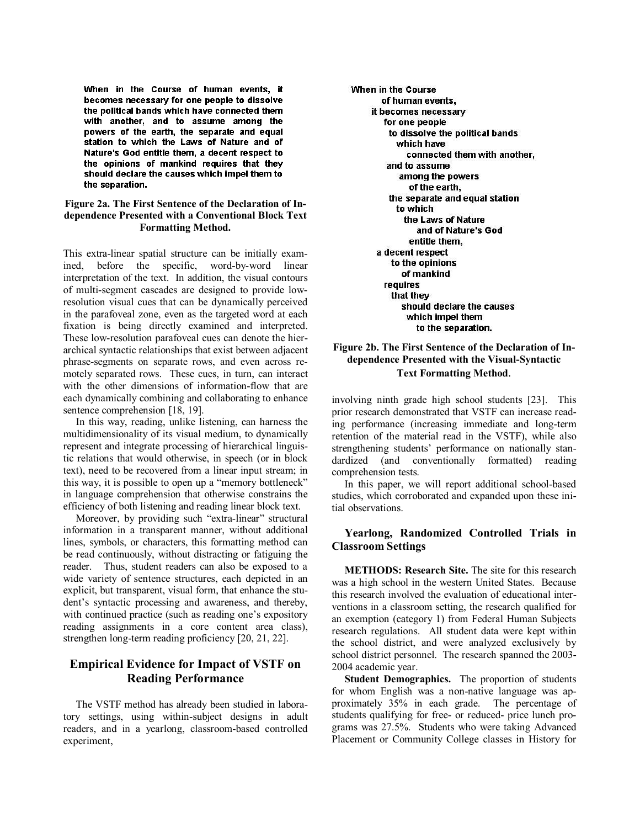When in the Course of human events, it becomes necessary for one people to dissolve the political bands which have connected them with another, and to assume among the powers of the earth, the separate and equal station to which the Laws of Nature and of Nature's God entitle them, a decent respect to the opinions of mankind requires that they should declare the causes which impel them to the separation.

### **Figure 2a. The First Sentence of the Declaration of Independence Presented with a Conventional Block Text Formatting Method.**

This extra-linear spatial structure can be initially examined, before the specific, word-by-word linear interpretation of the text. In addition, the visual contours of multi-segment cascades are designed to provide lowresolution visual cues that can be dynamically perceived in the parafoveal zone, even as the targeted word at each fixation is being directly examined and interpreted. These low-resolution parafoveal cues can denote the hierarchical syntactic relationships that exist between adjacent phrase-segments on separate rows, and even across remotely separated rows. These cues, in turn, can interact with the other dimensions of information-flow that are each dynamically combining and collaborating to enhance sentence comprehension [18, 19].

In this way, reading, unlike listening, can harness the multidimensionality of its visual medium, to dynamically represent and integrate processing of hierarchical linguistic relations that would otherwise, in speech (or in block text), need to be recovered from a linear input stream; in this way, it is possible to open up a "memory bottleneck" in language comprehension that otherwise constrains the efficiency of both listening and reading linear block text.

Moreover, by providing such "extra-linear" structural information in a transparent manner, without additional lines, symbols, or characters, this formatting method can be read continuously, without distracting or fatiguing the reader. Thus, student readers can also be exposed to a wide variety of sentence structures, each depicted in an explicit, but transparent, visual form, that enhance the student's syntactic processing and awareness, and thereby, with continued practice (such as reading one's expository reading assignments in a core content area class), strengthen long-term reading proficiency [20, 21, 22].

## **Empirical Evidence for Impact of VSTF on Reading Performance**

The VSTF method has already been studied in laboratory settings, using within-subject designs in adult readers, and in a yearlong, classroom-based controlled experiment,

**When in the Course** of human events. it becomes necessary for one people to dissolve the political bands which have connected them with another, and to assume among the powers of the earth, the separate and equal station to which the Laws of Nature and of Nature's God entitle them. a decent respect to the opinions of mankind requires that they should declare the causes which impel them to the separation.

### **Figure 2b. The First Sentence of the Declaration of Independence Presented with the Visual-Syntactic Text Formatting Method**.

involving ninth grade high school students [23]. This prior research demonstrated that VSTF can increase reading performance (increasing immediate and long-term retention of the material read in the VSTF), while also strengthening students' performance on nationally standardized (and conventionally formatted) reading comprehension tests.

In this paper, we will report additional school-based studies, which corroborated and expanded upon these initial observations.

### **Yearlong, Randomized Controlled Trials in Classroom Settings**

**METHODS: Research Site.** The site for this research was a high school in the western United States. Because this research involved the evaluation of educational interventions in a classroom setting, the research qualified for an exemption (category 1) from Federal Human Subjects research regulations. All student data were kept within the school district, and were analyzed exclusively by school district personnel. The research spanned the 2003- 2004 academic year.

**Student Demographics.** The proportion of students for whom English was a non-native language was approximately 35% in each grade. The percentage of students qualifying for free- or reduced- price lunch programs was 27.5%. Students who were taking Advanced Placement or Community College classes in History for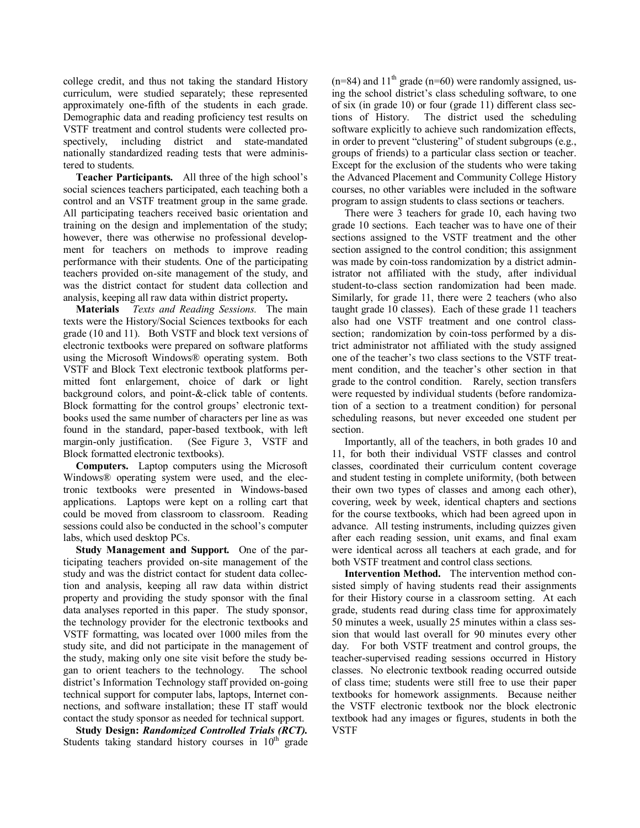college credit, and thus not taking the standard History curriculum, were studied separately; these represented approximately one-fifth of the students in each grade. Demographic data and reading proficiency test results on VSTF treatment and control students were collected prospectively, including district and state-mandated nationally standardized reading tests that were administered to students.

**Teacher Participants.** All three of the high school's social sciences teachers participated, each teaching both a control and an VSTF treatment group in the same grade. All participating teachers received basic orientation and training on the design and implementation of the study; however, there was otherwise no professional development for teachers on methods to improve reading performance with their students. One of the participating teachers provided on-site management of the study, and was the district contact for student data collection and analysis, keeping all raw data within district property**.** 

**Materials** *Texts and Reading Sessions.* The main texts were the History/Social Sciences textbooks for each grade (10 and 11). Both VSTF and block text versions of electronic textbooks were prepared on software platforms using the Microsoft Windows® operating system. Both VSTF and Block Text electronic textbook platforms permitted font enlargement, choice of dark or light background colors, and point-&-click table of contents. Block formatting for the control groups' electronic textbooks used the same number of characters per line as was found in the standard, paper-based textbook, with left margin-only justification. (See Figure 3, VSTF and Block formatted electronic textbooks).

**Computers.**Laptop computers using the Microsoft Windows® operating system were used, and the electronic textbooks were presented in Windows-based applications. Laptops were kept on a rolling cart that could be moved from classroom to classroom. Reading sessions could also be conducted in the school's computer labs, which used desktop PCs.

**Study Management and Support***.* One of the participating teachers provided on-site management of the study and was the district contact for student data collection and analysis, keeping all raw data within district property and providing the study sponsor with the final data analyses reported in this paper. The study sponsor, the technology provider for the electronic textbooks and VSTF formatting, was located over 1000 miles from the study site, and did not participate in the management of the study, making only one site visit before the study began to orient teachers to the technology. The school district's Information Technology staff provided on-going technical support for computer labs, laptops, Internet connections, and software installation; these IT staff would contact the study sponsor as needed for technical support.

**Study Design:** *Randomized Controlled Trials (RCT).*  Students taking standard history courses in  $10<sup>th</sup>$  grade  $(n=84)$  and  $11<sup>th</sup>$  grade ( $n=60$ ) were randomly assigned, using the school district's class scheduling software, to one of six (in grade 10) or four (grade 11) different class sections of History. The district used the scheduling software explicitly to achieve such randomization effects, in order to prevent "clustering" of student subgroups (e.g., groups of friends) to a particular class section or teacher. Except for the exclusion of the students who were taking the Advanced Placement and Community College History courses, no other variables were included in the software program to assign students to class sections or teachers.

There were 3 teachers for grade 10, each having two grade 10 sections. Each teacher was to have one of their sections assigned to the VSTF treatment and the other section assigned to the control condition; this assignment was made by coin-toss randomization by a district administrator not affiliated with the study, after individual student-to-class section randomization had been made. Similarly, for grade 11, there were 2 teachers (who also taught grade 10 classes). Each of these grade 11 teachers also had one VSTF treatment and one control classsection; randomization by coin-toss performed by a district administrator not affiliated with the study assigned one of the teacher's two class sections to the VSTF treatment condition, and the teacher's other section in that grade to the control condition. Rarely, section transfers were requested by individual students (before randomization of a section to a treatment condition) for personal scheduling reasons, but never exceeded one student per section.

Importantly, all of the teachers, in both grades 10 and 11, for both their individual VSTF classes and control classes, coordinated their curriculum content coverage and student testing in complete uniformity, (both between their own two types of classes and among each other), covering, week by week, identical chapters and sections for the course textbooks, which had been agreed upon in advance. All testing instruments, including quizzes given after each reading session, unit exams, and final exam were identical across all teachers at each grade, and for both VSTF treatment and control class sections.

**Intervention Method.** The intervention method consisted simply of having students read their assignments for their History course in a classroom setting. At each grade, students read during class time for approximately 50 minutes a week, usually 25 minutes within a class session that would last overall for 90 minutes every other day. For both VSTF treatment and control groups, the teacher-supervised reading sessions occurred in History classes. No electronic textbook reading occurred outside of class time; students were still free to use their paper textbooks for homework assignments. Because neither the VSTF electronic textbook nor the block electronic textbook had any images or figures, students in both the VSTF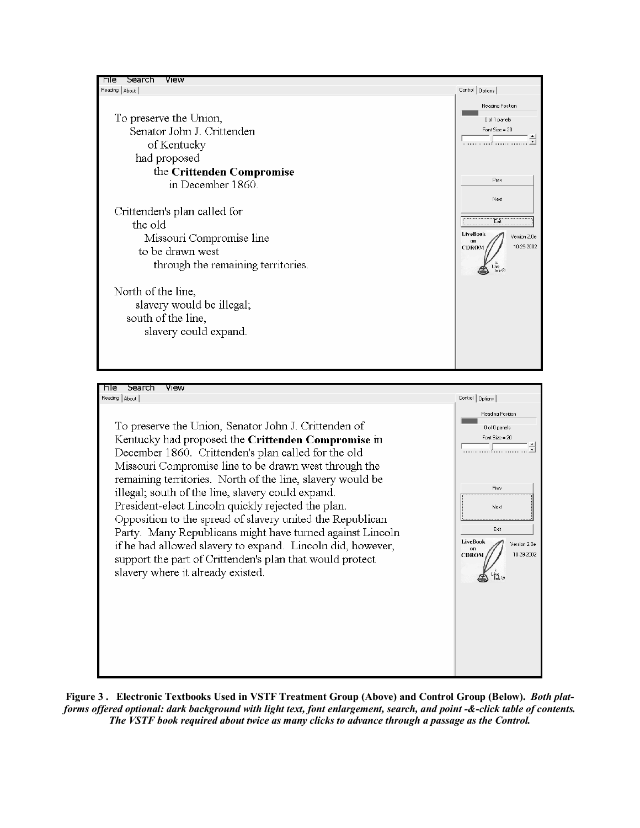

remaining territories. North of the line, slavery would be illegal; south of the line, slavery could expand. President-elect Lincoln quickly rejected the plan. Opposition to the spread of slavery united the Republican Party. Many Republicans might have turned against Lincoln if he had allowed slavery to expand. Lincoln did, however, support the part of Crittenden's plan that would protect slavery where it already existed.



**Figure 3 . Electronic Textbooks Used in VSTF Treatment Group (Above) and Control Group (Below).** *Both platforms offered optional: dark background with light text, font enlargement, search, and point -&-click table of contents. The VSTF book required about twice as many clicks to advance through a passage as the Control.*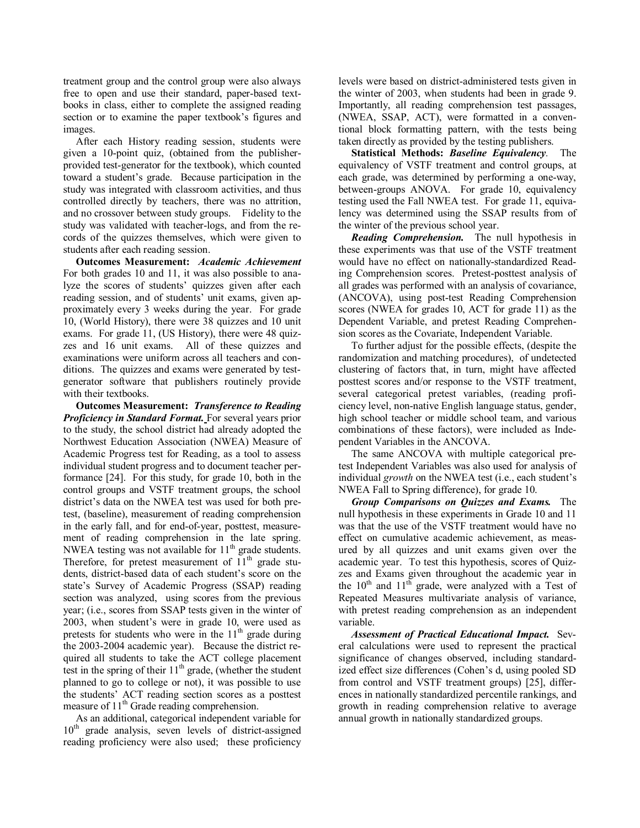treatment group and the control group were also always free to open and use their standard, paper-based textbooks in class, either to complete the assigned reading section or to examine the paper textbook's figures and images.

After each History reading session, students were given a 10-point quiz, (obtained from the publisherprovided test-generator for the textbook), which counted toward a student's grade. Because participation in the study was integrated with classroom activities, and thus controlled directly by teachers, there was no attrition, and no crossover between study groups. Fidelity to the study was validated with teacher-logs, and from the records of the quizzes themselves, which were given to students after each reading session.

**Outcomes Measurement:** *Academic Achievement* For both grades 10 and 11, it was also possible to analyze the scores of students' quizzes given after each reading session, and of students' unit exams, given approximately every 3 weeks during the year. For grade 10, (World History), there were 38 quizzes and 10 unit exams. For grade 11, (US History), there were 48 quizzes and 16 unit exams. All of these quizzes and examinations were uniform across all teachers and conditions. The quizzes and exams were generated by testgenerator software that publishers routinely provide with their textbooks.

**Outcomes Measurement:** *Transference to Reading Proficiency in Standard Format.* For several years prior to the study, the school district had already adopted the Northwest Education Association (NWEA) Measure of Academic Progress test for Reading, as a tool to assess individual student progress and to document teacher performance [24]. For this study, for grade 10, both in the control groups and VSTF treatment groups, the school district's data on the NWEA test was used for both pretest, (baseline), measurement of reading comprehension in the early fall, and for end-of-year, posttest, measurement of reading comprehension in the late spring. NWEA testing was not available for  $11<sup>th</sup>$  grade students. Therefore, for pretest measurement of  $11<sup>th</sup>$  grade students, district-based data of each student's score on the state's Survey of Academic Progress (SSAP) reading section was analyzed, using scores from the previous year; (i.e., scores from SSAP tests given in the winter of 2003, when student's were in grade 10, were used as pretests for students who were in the  $11<sup>th</sup>$  grade during the 2003-2004 academic year). Because the district required all students to take the ACT college placement test in the spring of their  $11<sup>th</sup>$  grade, (whether the student planned to go to college or not), it was possible to use the students' ACT reading section scores as a posttest measure of 11<sup>th</sup> Grade reading comprehension.

As an additional, categorical independent variable for 10<sup>th</sup> grade analysis, seven levels of district-assigned reading proficiency were also used; these proficiency levels were based on district-administered tests given in the winter of 2003, when students had been in grade 9. Importantly, all reading comprehension test passages, (NWEA, SSAP, ACT), were formatted in a conventional block formatting pattern, with the tests being taken directly as provided by the testing publishers.

**Statistical Methods:** *Baseline Equivalency.* The equivalency of VSTF treatment and control groups, at each grade, was determined by performing a one-way, between-groups ANOVA. For grade 10, equivalency testing used the Fall NWEA test. For grade 11, equivalency was determined using the SSAP results from of the winter of the previous school year.

*Reading Comprehension.* The null hypothesis in these experiments was that use of the VSTF treatment would have no effect on nationally-standardized Reading Comprehension scores. Pretest-posttest analysis of all grades was performed with an analysis of covariance, (ANCOVA), using post-test Reading Comprehension scores (NWEA for grades 10, ACT for grade 11) as the Dependent Variable, and pretest Reading Comprehension scores as the Covariate, Independent Variable.

To further adjust for the possible effects, (despite the randomization and matching procedures), of undetected clustering of factors that, in turn, might have affected posttest scores and/or response to the VSTF treatment, several categorical pretest variables, (reading proficiency level, non-native English language status, gender, high school teacher or middle school team, and various combinations of these factors), were included as Independent Variables in the ANCOVA.

The same ANCOVA with multiple categorical pretest Independent Variables was also used for analysis of individual *growth* on the NWEA test (i.e., each student's NWEA Fall to Spring difference), for grade 10.

*Group Comparisons on Quizzes and Exams.* The null hypothesis in these experiments in Grade 10 and 11 was that the use of the VSTF treatment would have no effect on cumulative academic achievement, as measured by all quizzes and unit exams given over the academic year. To test this hypothesis, scores of Quizzes and Exams given throughout the academic year in the  $10<sup>th</sup>$  and  $11<sup>th</sup>$  grade, were analyzed with a Test of Repeated Measures multivariate analysis of variance, with pretest reading comprehension as an independent variable.

*Assessment of Practical Educational Impact.* Several calculations were used to represent the practical significance of changes observed, including standardized effect size differences (Cohen's d, using pooled SD from control and VSTF treatment groups) [25], differences in nationally standardized percentile rankings, and growth in reading comprehension relative to average annual growth in nationally standardized groups.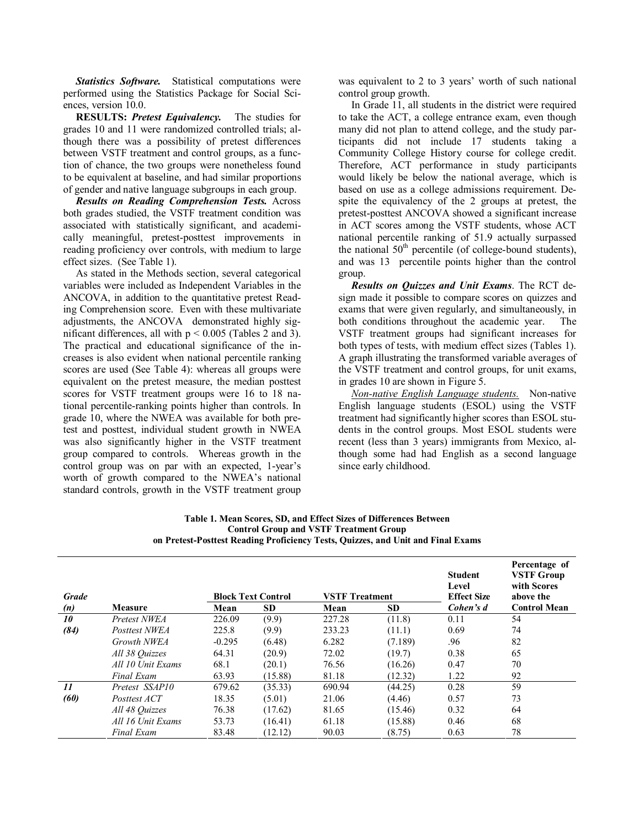*Statistics Software.* Statistical computations were performed using the Statistics Package for Social Sciences, version 10.0.

**RESULTS:** *Pretest Equivalency.* The studies for grades 10 and 11 were randomized controlled trials; although there was a possibility of pretest differences between VSTF treatment and control groups, as a function of chance, the two groups were nonetheless found to be equivalent at baseline, and had similar proportions of gender and native language subgroups in each group.

*Results on Reading Comprehension Tests.* Across both grades studied, the VSTF treatment condition was associated with statistically significant, and academically meaningful, pretest-posttest improvements in reading proficiency over controls, with medium to large effect sizes. (See Table 1).

As stated in the Methods section, several categorical variables were included as Independent Variables in the ANCOVA, in addition to the quantitative pretest Reading Comprehension score. Even with these multivariate adjustments, the ANCOVA demonstrated highly significant differences, all with  $p < 0.005$  (Tables 2 and 3). The practical and educational significance of the increases is also evident when national percentile ranking scores are used (See Table 4): whereas all groups were equivalent on the pretest measure, the median posttest scores for VSTF treatment groups were 16 to 18 national percentile-ranking points higher than controls. In grade 10, where the NWEA was available for both pretest and posttest, individual student growth in NWEA was also significantly higher in the VSTF treatment group compared to controls. Whereas growth in the control group was on par with an expected, 1-year's worth of growth compared to the NWEA's national standard controls, growth in the VSTF treatment group

was equivalent to 2 to 3 years' worth of such national control group growth.

In Grade 11, all students in the district were required to take the ACT, a college entrance exam, even though many did not plan to attend college, and the study participants did not include 17 students taking a Community College History course for college credit. Therefore, ACT performance in study participants would likely be below the national average, which is based on use as a college admissions requirement. Despite the equivalency of the 2 groups at pretest, the pretest-posttest ANCOVA showed a significant increase in ACT scores among the VSTF students, whose ACT national percentile ranking of 51.9 actually surpassed the national  $50<sup>th</sup>$  percentile (of college-bound students), and was 13 percentile points higher than the control group.

*Results on Quizzes and Unit Exams*. The RCT design made it possible to compare scores on quizzes and exams that were given regularly, and simultaneously, in both conditions throughout the academic year. The VSTF treatment groups had significant increases for both types of tests, with medium effect sizes (Tables 1). A graph illustrating the transformed variable averages of the VSTF treatment and control groups, for unit exams, in grades 10 are shown in Figure 5.

*Non-native English Language students.* Non-native English language students (ESOL) using the VSTF treatment had significantly higher scores than ESOL students in the control groups. Most ESOL students were recent (less than 3 years) immigrants from Mexico, although some had had English as a second language since early childhood.

| Table 1. Mean Scores, SD, and Effect Sizes of Differences Between                |  |  |  |  |  |  |
|----------------------------------------------------------------------------------|--|--|--|--|--|--|
| <b>Control Group and VSTF Treatment Group</b>                                    |  |  |  |  |  |  |
| on Pretest-Posttest Reading Proficiency Tests, Quizzes, and Unit and Final Exams |  |  |  |  |  |  |

| <b>Grade</b><br>(n) | <b>Measure</b>       | <b>Block Text Control</b><br>Mean<br><b>SD</b> |         | <b>VSTF Treatment</b><br><b>SD</b><br>Mean |         | <b>Student</b><br>Level<br><b>Effect Size</b><br>Cohen's d | Percentage of<br><b>VSTF Group</b><br>with Scores<br>above the<br><b>Control Mean</b> |
|---------------------|----------------------|------------------------------------------------|---------|--------------------------------------------|---------|------------------------------------------------------------|---------------------------------------------------------------------------------------|
| 10                  | Pretest NWEA         | 226.09                                         | (9.9)   | 227.28                                     | (11.8)  | 0.11                                                       | 54                                                                                    |
| (84)                | <b>Posttest NWEA</b> | 225.8                                          | (9.9)   | 233.23                                     | (11.1)  | 0.69                                                       | 74                                                                                    |
|                     | Growth NWEA          | $-0.295$                                       | (6.48)  | 6.282                                      | (7.189) | .96                                                        | 82                                                                                    |
|                     | All 38 Quizzes       | 64.31                                          | (20.9)  | 72.02                                      | (19.7)  | 0.38                                                       | 65                                                                                    |
|                     | All 10 Unit Exams    | 68.1                                           | (20.1)  | 76.56                                      | (16.26) | 0.47                                                       | 70                                                                                    |
|                     | <b>Final Exam</b>    | 63.93                                          | (15.88) | 81.18                                      | (12.32) | 1.22                                                       | 92                                                                                    |
| 11                  | Pretest SSAP10       | 679.62                                         | (35.33) | 690.94                                     | (44.25) | 0.28                                                       | 59                                                                                    |
| (60)                | Posttest ACT         | 18.35                                          | (5.01)  | 21.06                                      | (4.46)  | 0.57                                                       | 73                                                                                    |
|                     | All 48 Quizzes       | 76.38                                          | (17.62) | 81.65                                      | (15.46) | 0.32                                                       | 64                                                                                    |
|                     | All 16 Unit Exams    | 53.73                                          | (16.41) | 61.18                                      | (15.88) | 0.46                                                       | 68                                                                                    |
|                     | <b>Final Exam</b>    | 83.48                                          | (12.12) | 90.03                                      | (8.75)  | 0.63                                                       | 78                                                                                    |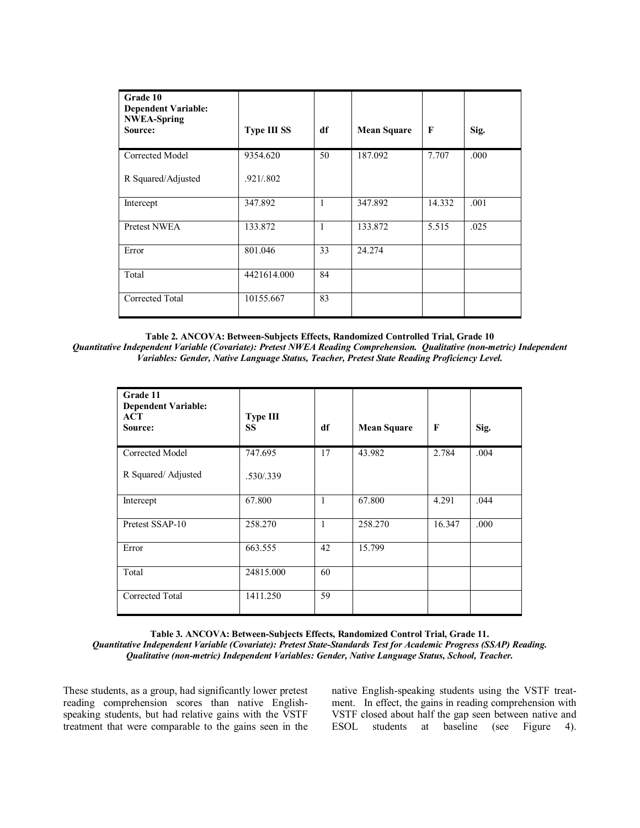| Grade 10<br><b>Dependent Variable:</b><br><b>NWEA-Spring</b><br>Source: | <b>Type III SS</b> | df           | <b>Mean Square</b> | F      | Sig. |
|-------------------------------------------------------------------------|--------------------|--------------|--------------------|--------|------|
| Corrected Model                                                         | 9354.620           | 50           | 187.092            | 7.707  | .000 |
| R Squared/Adjusted                                                      | .921/.802          |              |                    |        |      |
| Intercept                                                               | 347.892            | $\mathbf{1}$ | 347.892            | 14.332 | .001 |
| Pretest NWEA                                                            | 133.872            | 1            | 133.872            | 5.515  | .025 |
| Error                                                                   | 801.046            | 33           | 24.274             |        |      |
| Total                                                                   | 4421614.000        | 84           |                    |        |      |
| <b>Corrected Total</b>                                                  | 10155.667          | 83           |                    |        |      |

**Table 2. ANCOVA: Between-Subjects Effects, Randomized Controlled Trial, Grade 10**  *Quantitative Independent Variable (Covariate): Pretest NWEA Reading Comprehension. Qualitative (non-metric) Independent Variables: Gender, Native Language Status, Teacher, Pretest State Reading Proficiency Level.* 

| Grade 11<br><b>Dependent Variable:</b><br>ACT<br>Source: | Type III<br><b>SS</b> | df | <b>Mean Square</b> | F      | Sig. |
|----------------------------------------------------------|-----------------------|----|--------------------|--------|------|
| <b>Corrected Model</b>                                   | 747.695               | 17 | 43.982             | 2.784  | .004 |
| R Squared/Adjusted                                       | .530/.339             |    |                    |        |      |
| Intercept                                                | 67.800                | 1  | 67.800             | 4.291  | .044 |
| Pretest SSAP-10                                          | 258.270               | 1  | 258.270            | 16.347 | .000 |
| Error                                                    | 663.555               | 42 | 15.799             |        |      |
| Total                                                    | 24815.000             | 60 |                    |        |      |
| <b>Corrected Total</b>                                   | 1411.250              | 59 |                    |        |      |

**Table 3. ANCOVA: Between-Subjects Effects, Randomized Control Trial, Grade 11.** 

*Quantitative Independent Variable (Covariate): Pretest State-Standards Test for Academic Progress (SSAP) Reading. Qualitative (non-metric) Independent Variables: Gender, Native Language Status, School, Teacher.*

These students, as a group, had significantly lower pretest reading comprehension scores than native Englishspeaking students, but had relative gains with the VSTF treatment that were comparable to the gains seen in the native English-speaking students using the VSTF treatment. In effect, the gains in reading comprehension with VSTF closed about half the gap seen between native and ESOL students at baseline (see Figure 4).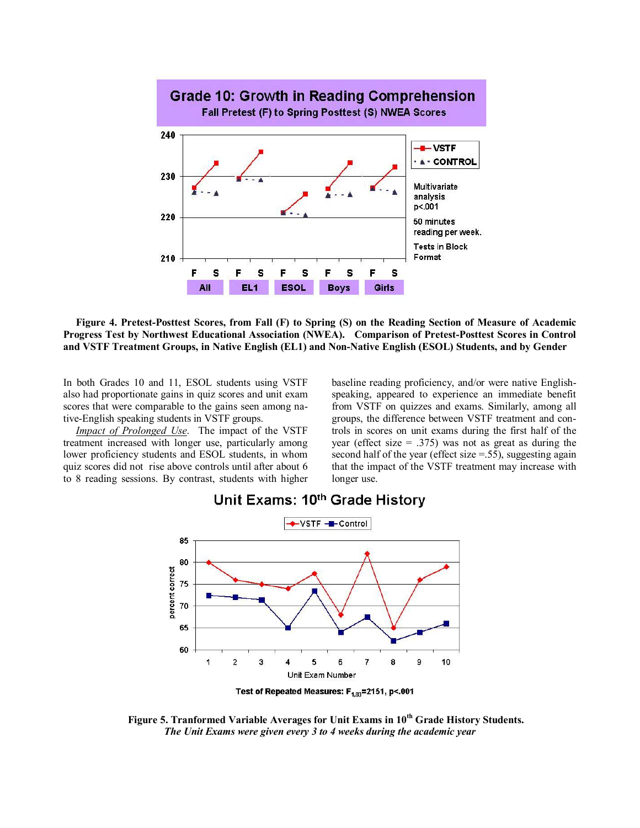

**Figure 4. Pretest-Posttest Scores, from Fall (F) to Spring (S) on the Reading Section of Measure of Academic Progress Test by Northwest Educational Association (NWEA). Comparison of Pretest-Posttest Scores in Control and VSTF Treatment Groups, in Native English (EL1) and Non-Native English (ESOL) Students, and by Gender**

In both Grades 10 and 11, ESOL students using VSTF also had proportionate gains in quiz scores and unit exam scores that were comparable to the gains seen among native-English speaking students in VSTF groups.

*Impact of Prolonged Use*. The impact of the VSTF treatment increased with longer use, particularly among lower proficiency students and ESOL students, in whom quiz scores did not rise above controls until after about 6 to 8 reading sessions. By contrast, students with higher baseline reading proficiency, and/or were native Englishspeaking, appeared to experience an immediate benefit from VSTF on quizzes and exams. Similarly, among all groups, the difference between VSTF treatment and controls in scores on unit exams during the first half of the year (effect size  $= .375$ ) was not as great as during the second half of the year (effect size  $=$  .55), suggesting again that the impact of the VSTF treatment may increase with longer use.



## Unit Exams: 10<sup>th</sup> Grade History

Figure 5. Tranformed Variable Averages for Unit Exams in 10<sup>th</sup> Grade History Students. *The Unit Exams were given every 3 to 4 weeks during the academic year*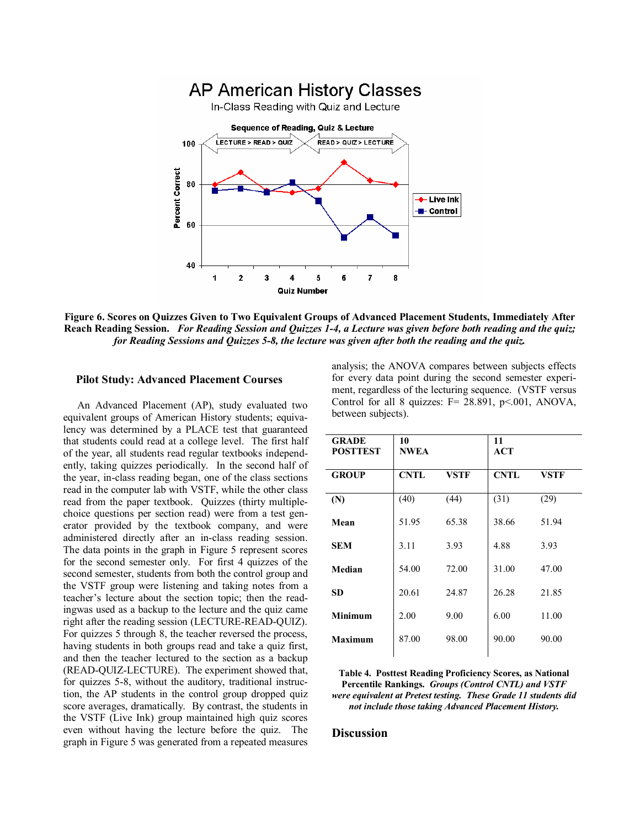

**Figure 6. Scores on Quizzes Given to Two Equivalent Groups of Advanced Placement Students, Immediately After Reach Reading Session.** *For Reading Session and Quizzes 1-4, a Lecture was given before both reading and the quiz; for Reading Sessions and Quizzes 5-8, the lecture was given after both the reading and the quiz.*

### **Pilot Study: Advanced Placement Courses**

An Advanced Placement (AP), study evaluated two equivalent groups of American History students; equivalency was determined by a PLACE test that guaranteed that students could read at a college level. The first half of the year, all students read regular textbooks independently, taking quizzes periodically. In the second half of the year, in-class reading began, one of the class sections read in the computer lab with VSTF, while the other class read from the paper textbook. Quizzes (thirty multiplechoice questions per section read) were from a test generator provided by the textbook company, and were administered directly after an in-class reading session. The data points in the graph in Figure 5 represent scores for the second semester only. For first 4 quizzes of the second semester, students from both the control group and the VSTF group were listening and taking notes from a teacher's lecture about the section topic; then the readingwas used as a backup to the lecture and the quiz came right after the reading session (LECTURE-READ-QUIZ). For quizzes 5 through 8, the teacher reversed the process, having students in both groups read and take a quiz first, and then the teacher lectured to the section as a backup (READ-QUIZ-LECTURE). The experiment showed that, for quizzes 5-8, without the auditory, traditional instruction, the AP students in the control group dropped quiz score averages, dramatically. By contrast, the students in the VSTF (Live Ink) group maintained high quiz scores even without having the lecture before the quiz. The graph in Figure 5 was generated from a repeated measures

analysis; the ANOVA compares between subjects effects for every data point during the second semester experiment, regardless of the lecturing sequence. (VSTF versus Control for all 8 quizzes:  $F = 28.891$ ,  $p < .001$ , ANOVA, between subjects).

| <b>GRADE</b><br><b>POSTTEST</b> | 10<br><b>NWEA</b> |       | 11<br>ACT   |             |
|---------------------------------|-------------------|-------|-------------|-------------|
| <b>GROUP</b>                    | <b>CNTL</b>       | VSTF  | <b>CNTL</b> | <b>VSTF</b> |
| (N)                             | (40)              | (44)  | (31)        | (29)        |
| Mean                            | 51.95             | 65.38 | 38.66       | 51.94       |
| <b>SEM</b>                      | 3.11              | 3.93  | 4.88        | 3.93        |
| Median                          | 54.00             | 72.00 | 31.00       | 47.00       |
| SD                              | 20.61             | 24.87 | 26.28       | 21.85       |
| <b>Minimum</b>                  | 2.00              | 9.00  | 6.00        | 11.00       |
| Maximum                         | 87.00             | 98.00 | 90.00       | 90.00       |

**Table 4. Posttest Reading Proficiency Scores, as National Percentile Rankings.** *Groups (Control CNTL) and VSTF were equivalent at Pretest testing. These Grade 11 students did not include those taking Advanced Placement History.*

### **Discussion**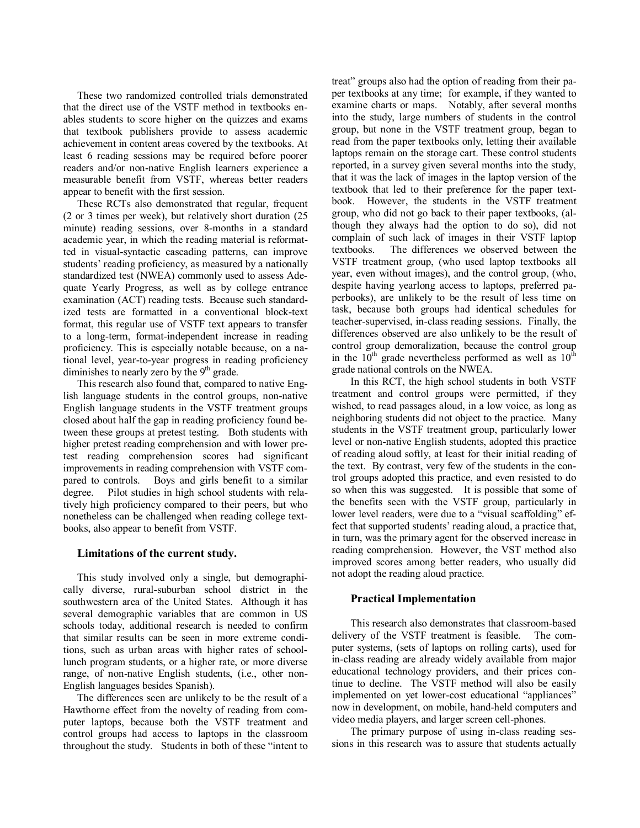These two randomized controlled trials demonstrated that the direct use of the VSTF method in textbooks enables students to score higher on the quizzes and exams that textbook publishers provide to assess academic achievement in content areas covered by the textbooks. At least 6 reading sessions may be required before poorer readers and/or non-native English learners experience a measurable benefit from VSTF, whereas better readers appear to benefit with the first session.

These RCTs also demonstrated that regular, frequent (2 or 3 times per week), but relatively short duration (25 minute) reading sessions, over 8-months in a standard academic year, in which the reading material is reformatted in visual-syntactic cascading patterns, can improve students' reading proficiency, as measured by a nationally standardized test (NWEA) commonly used to assess Adequate Yearly Progress, as well as by college entrance examination (ACT) reading tests. Because such standardized tests are formatted in a conventional block-text format, this regular use of VSTF text appears to transfer to a long-term, format-independent increase in reading proficiency. This is especially notable because, on a national level, year-to-year progress in reading proficiency diminishes to nearly zero by the  $9<sup>th</sup>$  grade.

This research also found that, compared to native English language students in the control groups, non-native English language students in the VSTF treatment groups closed about half the gap in reading proficiency found between these groups at pretest testing. Both students with higher pretest reading comprehension and with lower pretest reading comprehension scores had significant improvements in reading comprehension with VSTF compared to controls. Boys and girls benefit to a similar degree. Pilot studies in high school students with relatively high proficiency compared to their peers, but who nonetheless can be challenged when reading college textbooks, also appear to benefit from VSTF.

### **Limitations of the current study.**

This study involved only a single, but demographically diverse, rural-suburban school district in the southwestern area of the United States. Although it has several demographic variables that are common in US schools today, additional research is needed to confirm that similar results can be seen in more extreme conditions, such as urban areas with higher rates of schoollunch program students, or a higher rate, or more diverse range, of non-native English students, (i.e., other non-English languages besides Spanish).

The differences seen are unlikely to be the result of a Hawthorne effect from the novelty of reading from computer laptops, because both the VSTF treatment and control groups had access to laptops in the classroom throughout the study. Students in both of these "intent to

treat" groups also had the option of reading from their paper textbooks at any time; for example, if they wanted to examine charts or maps. Notably, after several months into the study, large numbers of students in the control group, but none in the VSTF treatment group, began to read from the paper textbooks only, letting their available laptops remain on the storage cart. These control students reported, in a survey given several months into the study, that it was the lack of images in the laptop version of the textbook that led to their preference for the paper textbook. However, the students in the VSTF treatment group, who did not go back to their paper textbooks, (although they always had the option to do so), did not complain of such lack of images in their VSTF laptop textbooks. The differences we observed between the VSTF treatment group, (who used laptop textbooks all year, even without images), and the control group, (who, despite having yearlong access to laptops, preferred paperbooks), are unlikely to be the result of less time on task, because both groups had identical schedules for teacher-supervised, in-class reading sessions. Finally, the differences observed are also unlikely to be the result of control group demoralization, because the control group in the  $10^{th}$  grade nevertheless performed as well as  $10^{th}$ grade national controls on the NWEA.

In this RCT, the high school students in both VSTF treatment and control groups were permitted, if they wished, to read passages aloud, in a low voice, as long as neighboring students did not object to the practice. Many students in the VSTF treatment group, particularly lower level or non-native English students, adopted this practice of reading aloud softly, at least for their initial reading of the text. By contrast, very few of the students in the control groups adopted this practice, and even resisted to do so when this was suggested. It is possible that some of the benefits seen with the VSTF group, particularly in lower level readers, were due to a "visual scaffolding" effect that supported students' reading aloud, a practice that, in turn, was the primary agent for the observed increase in reading comprehension. However, the VST method also improved scores among better readers, who usually did not adopt the reading aloud practice.

#### **Practical Implementation**

This research also demonstrates that classroom-based delivery of the VSTF treatment is feasible. The computer systems, (sets of laptops on rolling carts), used for in-class reading are already widely available from major educational technology providers, and their prices continue to decline. The VSTF method will also be easily implemented on yet lower-cost educational "appliances" now in development, on mobile, hand-held computers and video media players, and larger screen cell-phones.

The primary purpose of using in-class reading sessions in this research was to assure that students actually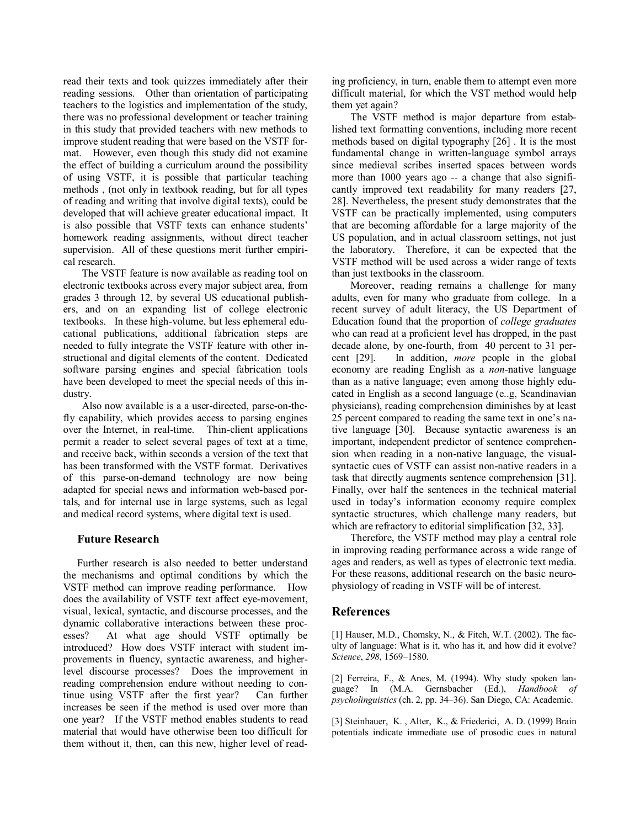read their texts and took quizzes immediately after their reading sessions. Other than orientation of participating teachers to the logistics and implementation of the study, there was no professional development or teacher training in this study that provided teachers with new methods to improve student reading that were based on the VSTF format. However, even though this study did not examine the effect of building a curriculum around the possibility of using VSTF, it is possible that particular teaching methods , (not only in textbook reading, but for all types of reading and writing that involve digital texts), could be developed that will achieve greater educational impact. It is also possible that VSTF texts can enhance students' homework reading assignments, without direct teacher supervision. All of these questions merit further empirical research.

The VSTF feature is now available as reading tool on electronic textbooks across every major subject area, from grades 3 through 12, by several US educational publishers, and on an expanding list of college electronic textbooks. In these high-volume, but less ephemeral educational publications, additional fabrication steps are needed to fully integrate the VSTF feature with other instructional and digital elements of the content. Dedicated software parsing engines and special fabrication tools have been developed to meet the special needs of this industry.

Also now available is a a user-directed, parse-on-thefly capability, which provides access to parsing engines over the Internet, in real-time. Thin-client applications permit a reader to select several pages of text at a time, and receive back, within seconds a version of the text that has been transformed with the VSTF format. Derivatives of this parse-on-demand technology are now being adapted for special news and information web-based portals, and for internal use in large systems, such as legal and medical record systems, where digital text is used.

#### **Future Research**

Further research is also needed to better understand the mechanisms and optimal conditions by which the VSTF method can improve reading performance. How does the availability of VSTF text affect eye-movement, visual, lexical, syntactic, and discourse processes, and the dynamic collaborative interactions between these processes? At what age should VSTF optimally be introduced? How does VSTF interact with student improvements in fluency, syntactic awareness, and higherlevel discourse processes? Does the improvement in reading comprehension endure without needing to continue using VSTF after the first year? Can further increases be seen if the method is used over more than one year? If the VSTF method enables students to read material that would have otherwise been too difficult for them without it, then, can this new, higher level of reading proficiency, in turn, enable them to attempt even more difficult material, for which the VST method would help them yet again?

The VSTF method is major departure from established text formatting conventions, including more recent methods based on digital typography [26] . It is the most fundamental change in written-language symbol arrays since medieval scribes inserted spaces between words more than 1000 years ago -- a change that also significantly improved text readability for many readers [27, 28]. Nevertheless, the present study demonstrates that the VSTF can be practically implemented, using computers that are becoming affordable for a large majority of the US population, and in actual classroom settings, not just the laboratory. Therefore, it can be expected that the VSTF method will be used across a wider range of texts than just textbooks in the classroom.

Moreover, reading remains a challenge for many adults, even for many who graduate from college. In a recent survey of adult literacy, the US Department of Education found that the proportion of *college graduates* who can read at a proficient level has dropped, in the past decade alone, by one-fourth, from 40 percent to 31 percent [29]. In addition, *more* people in the global economy are reading English as a *non*-native language than as a native language; even among those highly educated in English as a second language (e..g, Scandinavian physicians), reading comprehension diminishes by at least 25 percent compared to reading the same text in one's native language [30]. Because syntactic awareness is an important, independent predictor of sentence comprehension when reading in a non-native language, the visualsyntactic cues of VSTF can assist non-native readers in a task that directly augments sentence comprehension [31]. Finally, over half the sentences in the technical material used in today's information economy require complex syntactic structures, which challenge many readers, but which are refractory to editorial simplification [32, 33].

Therefore, the VSTF method may play a central role in improving reading performance across a wide range of ages and readers, as well as types of electronic text media. For these reasons, additional research on the basic neurophysiology of reading in VSTF will be of interest.

## **References**

[1] Hauser, M.D., Chomsky, N., & Fitch, W.T. (2002). The faculty of language: What is it, who has it, and how did it evolve? *Science*, *298*, 1569–1580.

[2] Ferreira, F., & Anes, M. (1994). Why study spoken language? In (M.A. Gernsbacher (Ed.), *Handbook of psycholinguistics* (ch. 2, pp. 34–36). San Diego, CA: Academic.

[3] Steinhauer, K. , Alter, K., & Friederici, A. D. (1999) Brain potentials indicate immediate use of prosodic cues in natural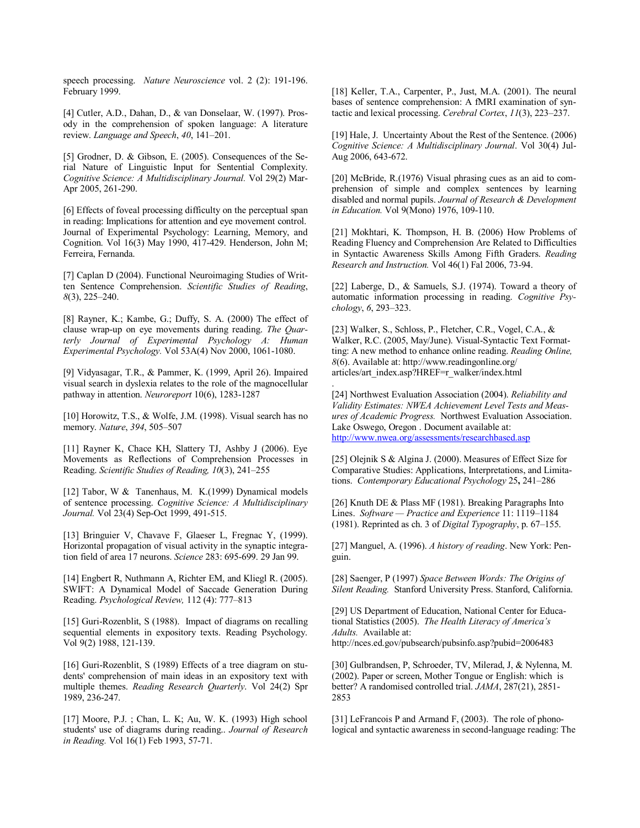speech processing. *Nature Neuroscience* vol. 2 (2): 191-196. February 1999.

[4] Cutler, A.D., Dahan, D., & van Donselaar, W. (1997). Prosody in the comprehension of spoken language: A literature review. *Language and Speech*, *40*, 141–201.

[5] Grodner, D. & Gibson, E. (2005). Consequences of the Serial Nature of Linguistic Input for Sentential Complexity. *Cognitive Science: A Multidisciplinary Journal.* Vol 29(2) Mar-Apr 2005, 261-290.

[6] Effects of foveal processing difficulty on the perceptual span in reading: Implications for attention and eye movement control. Journal of Experimental Psychology: Learning, Memory, and Cognition. Vol 16(3) May 1990, 417-429. Henderson, John M; Ferreira, Fernanda.

[7] Caplan D (2004). Functional Neuroimaging Studies of Written Sentence Comprehension. *Scientific Studies of Reading*, *8*(3), 225–240.

[8] Rayner, K.; Kambe, G.; Duffy, S. A. (2000) The effect of clause wrap-up on eye movements during reading. *The Quarterly Journal of Experimental Psychology A: Human Experimental Psychology.* Vol 53A(4) Nov 2000, 1061-1080.

[9] Vidyasagar, T.R., & Pammer, K. (1999, April 26). Impaired visual search in dyslexia relates to the role of the magnocellular pathway in attention. *Neuroreport* 10(6), 1283-1287

[10] Horowitz, T.S., & Wolfe, J.M. (1998). Visual search has no memory. *Nature*, *394*, 505–507

[11] Rayner K, Chace KH, Slattery TJ, Ashby J (2006). Eye Movements as Reflections of Comprehension Processes in Reading. *Scientific Studies of Reading, 10*(3), 241–255

[12] Tabor, W & Tanenhaus, M. K.(1999) Dynamical models of sentence processing. *Cognitive Science: A Multidisciplinary Journal.* Vol 23(4) Sep-Oct 1999, 491-515.

[13] Bringuier V, Chavave F, Glaeser L, Fregnac Y, (1999). Horizontal propagation of visual activity in the synaptic integration field of area 17 neurons. *Science* 283: 695-699. 29 Jan 99.

[14] Engbert R, Nuthmann A, Richter EM, and Kliegl R. (2005). SWIFT: A Dynamical Model of Saccade Generation During Reading. *Psychological Review,* 112 (4): 777–813

[15] Guri-Rozenblit, S (1988). Impact of diagrams on recalling sequential elements in expository texts. Reading Psychology. Vol 9(2) 1988, 121-139.

[16] Guri-Rozenblit, S (1989) Effects of a tree diagram on students' comprehension of main ideas in an expository text with multiple themes. *Reading Research Quarterly*. Vol 24(2) Spr 1989, 236-247.

[17] Moore, P.J. ; Chan, L. K; Au, W. K. (1993) High school students' use of diagrams during reading.. *Journal of Research in Reading.* Vol 16(1) Feb 1993, 57-71.

[18] Keller, T.A., Carpenter, P., Just, M.A. (2001). The neural bases of sentence comprehension: A fMRI examination of syntactic and lexical processing. *Cerebral Cortex*, *11*(3), 223–237.

[19] Hale, J. Uncertainty About the Rest of the Sentence. (2006) *Cognitive Science: A Multidisciplinary Journal*. Vol 30(4) Jul-Aug 2006, 643-672.

[20] McBride, R.(1976) Visual phrasing cues as an aid to comprehension of simple and complex sentences by learning disabled and normal pupils. *Journal of Research & Development in Education.* Vol 9(Mono) 1976, 109-110.

[21] Mokhtari, K. Thompson, H. B. (2006) How Problems of Reading Fluency and Comprehension Are Related to Difficulties in Syntactic Awareness Skills Among Fifth Graders. *Reading Research and Instruction.* Vol 46(1) Fal 2006, 73-94.

[22] Laberge, D., & Samuels, S.J. (1974). Toward a theory of automatic information processing in reading. *Cognitive Psychology*, *6*, 293–323.

[23] Walker, S., Schloss, P., Fletcher, C.R., Vogel, C.A., & Walker, R.C. (2005, May/June). Visual-Syntactic Text Formatting: A new method to enhance online reading. *Reading Online, 8*(6). Available at: http://www.readingonline.org/ articles/art\_index.asp?HREF=r\_walker/index.html

[24] Northwest Evaluation Association (2004). *Reliability and Validity Estimates: NWEA Achievement Level Tests and Measures of Academic Progress.* Northwest Evaluation Association. Lake Oswego, Oregon . Document available at: http://www.nwea.org/assessments/researchbased.asp

.

[25] Olejnik S & Algina J. (2000). Measures of Effect Size for Comparative Studies: Applications, Interpretations, and Limitations. *Contemporary Educational Psychology* 25**,** 241–286

[26] Knuth DE & Plass MF (1981). Breaking Paragraphs Into Lines. *Software — Practice and Experience* 11: 1119–1184 (1981). Reprinted as ch. 3 of *Digital Typography*, p. 67–155.

[27] Manguel, A. (1996). *A history of reading*. New York: Penguin.

[28] Saenger, P (1997) *Space Between Words: The Origins of Silent Reading.* Stanford University Press. Stanford, California.

[29] US Department of Education, National Center for Educational Statistics (2005). *The Health Literacy of America's Adults.* Available at: http://nces.ed.gov/pubsearch/pubsinfo.asp?pubid=2006483

[30] Gulbrandsen, P, Schroeder, TV, Milerad, J, & Nylenna, M. (2002). Paper or screen, Mother Tongue or English: which is better? A randomised controlled trial. *JAMA*, 287(21), 2851- 2853

[31] LeFrancois P and Armand F, (2003). The role of phonological and syntactic awareness in second-language reading: The